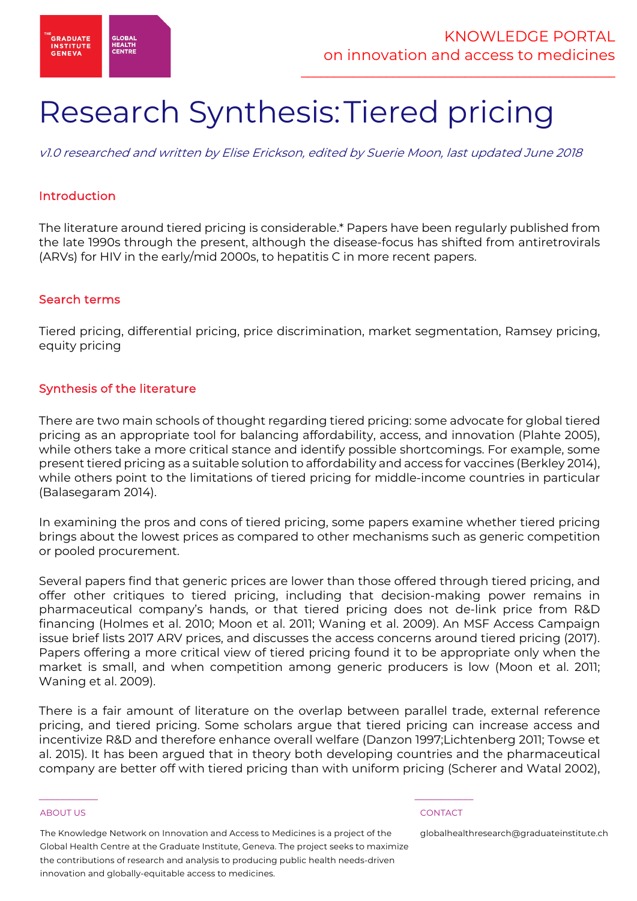

# Research Synthesis:Tiered pricing

v1.0 researched and written by Elise Erickson, edited by Suerie Moon, last updated June 2018

## Introduction

The literature around tiered pricing is considerable.\* Papers have been regularly published from the late 1990s through the present, although the disease-focus has shifted from antiretrovirals (ARVs) for HIV in the early/mid 2000s, to hepatitis C in more recent papers.

### Search terms

Tiered pricing, differential pricing, price discrimination, market segmentation, Ramsey pricing, equity pricing

### Synthesis of the literature

There are two main schools of thought regarding tiered pricing: some advocate for global tiered pricing as an appropriate tool for balancing affordability, access, and innovation (Plahte 2005), while others take a more critical stance and identify possible shortcomings. For example, some present tiered pricing as a suitable solution to affordability and access for vaccines (Berkley 2014), while others point to the limitations of tiered pricing for middle-income countries in particular (Balasegaram 2014).

In examining the pros and cons of tiered pricing, some papers examine whether tiered pricing brings about the lowest prices as compared to other mechanisms such as generic competition or pooled procurement.

Several papers find that generic prices are lower than those offered through tiered pricing, and offer other critiques to tiered pricing, including that decision-making power remains in pharmaceutical company's hands, or that tiered pricing does not de-link price from R&D financing (Holmes et al. 2010; Moon et al. 2011; Waning et al. 2009). An MSF Access Campaign issue brief lists 2017 ARV prices, and discusses the access concerns around tiered pricing (2017). Papers offering a more critical view of tiered pricing found it to be appropriate only when the market is small, and when competition among generic producers is low (Moon et al. 2011; Waning et al. 2009).

There is a fair amount of literature on the overlap between parallel trade, external reference pricing, and tiered pricing. Some scholars argue that tiered pricing can increase access and incentivize R&D and therefore enhance overall welfare (Danzon 1997;Lichtenberg 2011; Towse et al. 2015). It has been argued that in theory both developing countries and the pharmaceutical company are better off with tiered pricing than with uniform pricing (Scherer and Watal 2002),

#### ABOUT US CONTACT AND RESERVE THE RELEASE OF THE RELEASE OF THE RELEASE OF THE RELEASE OF THE RELEASE OF THE RELEASE OF THE RELEASE OF THE RELEASE OF THE RELEASE OF THE RELEASE OF THE RELEASE OF THE RELEASE OF THE RELEASE O

The Knowledge Network on Innovation and Access to Medicines is a project of the Global Health Centre at the Graduate Institute, Geneva. The project seeks to maximize the contributions of research and analysis to producing public health needs-driven innovation and globally-equitable access to medicines.

 $\frac{1}{2}$  , and the set of the set of the set of the set of the set of the set of the set of the set of the set of the set of the set of the set of the set of the set of the set of the set of the set of the set of the set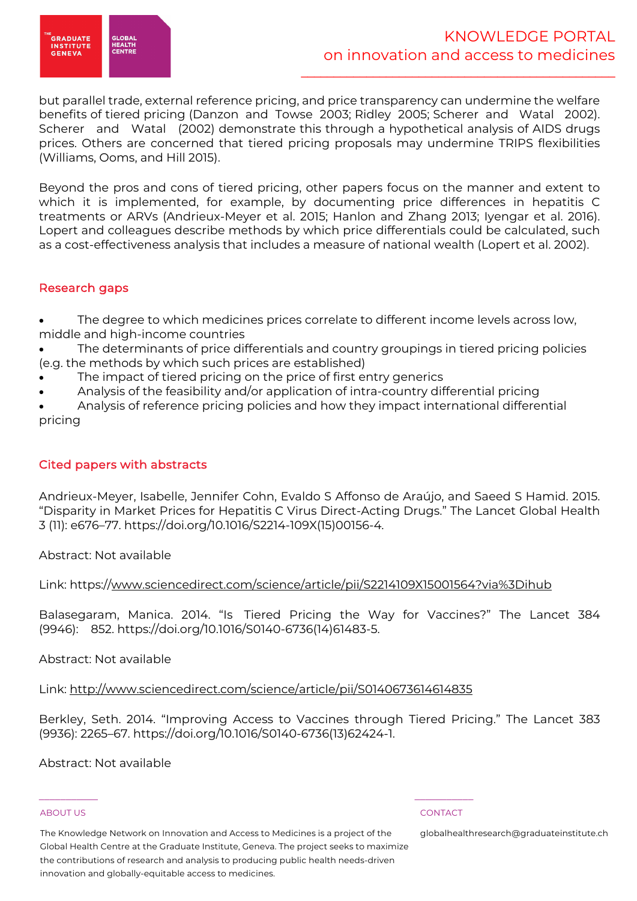

but parallel trade, external reference pricing, and price transparency can undermine the welfare benefits of tiered pricing (Danzon and Towse 2003; Ridley 2005; Scherer and Watal 2002). Scherer and Watal (2002) demonstrate this through a hypothetical analysis of AIDS drugs prices. Others are concerned that tiered pricing proposals may undermine TRIPS flexibilities (Williams, Ooms, and Hill 2015).

Beyond the pros and cons of tiered pricing, other papers focus on the manner and extent to which it is implemented, for example, by documenting price differences in hepatitis C treatments or ARVs (Andrieux-Meyer et al. 2015; Hanlon and Zhang 2013; Iyengar et al. 2016). Lopert and colleagues describe methods by which price differentials could be calculated, such as a cost-effectiveness analysis that includes a measure of national wealth (Lopert et al. 2002).

# Research gaps

• The degree to which medicines prices correlate to different income levels across low, middle and high-income countries

• The determinants of price differentials and country groupings in tiered pricing policies (e.g. the methods by which such prices are established)

- The impact of tiered pricing on the price of first entry generics
- Analysis of the feasibility and/or application of intra-country differential pricing
- Analysis of reference pricing policies and how they impact international differential pricing

# Cited papers with abstracts

Andrieux-Meyer, Isabelle, Jennifer Cohn, Evaldo S Affonso de Araújo, and Saeed S Hamid. 2015. "Disparity in Market Prices for Hepatitis C Virus Direct-Acting Drugs." The Lancet Global Health 3 (11): e676–77. https://doi.org/10.1016/S2214-109X(15)00156-4.

Abstract: Not available

Link: https://www.sciencedirect.com/science/article/pii/S2214109X15001564?via%3Dihub

Balasegaram, Manica. 2014. "Is Tiered Pricing the Way for Vaccines?" The Lancet 384 (9946): 852. https://doi.org/10.1016/S0140-6736(14)61483-5.

Abstract: Not available

Link: http://www.sciencedirect.com/science/article/pii/S0140673614614835

 $\frac{1}{2}$  , and the set of the set of the set of the set of the set of the set of the set of the set of the set of the set of the set of the set of the set of the set of the set of the set of the set of the set of the set

Berkley, Seth. 2014. "Improving Access to Vaccines through Tiered Pricing." The Lancet 383 (9936): 2265–67. https://doi.org/10.1016/S0140-6736(13)62424-1.

### Abstract: Not available

#### ABOUT US CONTACT AND RESERVE THE RELEASE OF THE RELEASE OF THE RELEASE OF THE RELEASE OF THE RELEASE OF THE RELEASE OF THE RELEASE OF THE RELEASE OF THE RELEASE OF THE RELEASE OF THE RELEASE OF THE RELEASE OF THE RELEASE O

The Knowledge Network on Innovation and Access to Medicines is a project of the Global Health Centre at the Graduate Institute, Geneva. The project seeks to maximize the contributions of research and analysis to producing public health needs-driven innovation and globally-equitable access to medicines.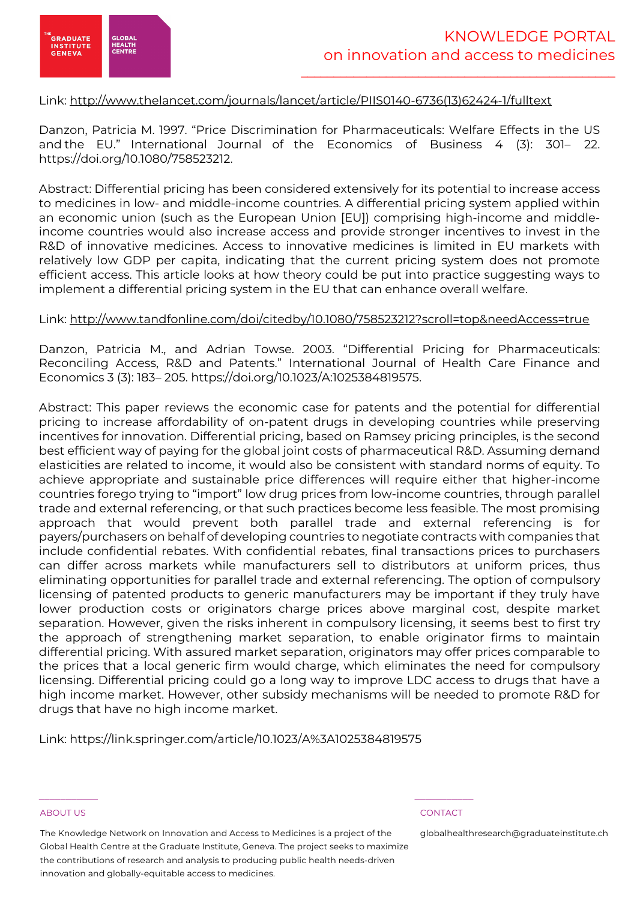

# Link: http://www.thelancet.com/journals/lancet/article/PIIS0140-6736(13)62424-1/fulltext

Danzon, Patricia M. 1997. "Price Discrimination for Pharmaceuticals: Welfare Effects in the US and the EU." International Journal of the Economics of Business 4 (3): 301– 22. https://doi.org/10.1080/758523212.

Abstract: Differential pricing has been considered extensively for its potential to increase access to medicines in low- and middle-income countries. A differential pricing system applied within an economic union (such as the European Union [EU]) comprising high-income and middleincome countries would also increase access and provide stronger incentives to invest in the R&D of innovative medicines. Access to innovative medicines is limited in EU markets with relatively low GDP per capita, indicating that the current pricing system does not promote efficient access. This article looks at how theory could be put into practice suggesting ways to implement a differential pricing system in the EU that can enhance overall welfare.

# Link: http://www.tandfonline.com/doi/citedby/10.1080/758523212?scroll=top&needAccess=true

Danzon, Patricia M., and Adrian Towse. 2003. "Differential Pricing for Pharmaceuticals: Reconciling Access, R&D and Patents." International Journal of Health Care Finance and Economics 3 (3): 183– 205. https://doi.org/10.1023/A:1025384819575.

Abstract: This paper reviews the economic case for patents and the potential for differential pricing to increase affordability of on-patent drugs in developing countries while preserving incentives for innovation. Differential pricing, based on Ramsey pricing principles, is the second best efficient way of paying for the global joint costs of pharmaceutical R&D. Assuming demand elasticities are related to income, it would also be consistent with standard norms of equity. To achieve appropriate and sustainable price differences will require either that higher-income countries forego trying to "import" low drug prices from low-income countries, through parallel trade and external referencing, or that such practices become less feasible. The most promising approach that would prevent both parallel trade and external referencing is for payers/purchasers on behalf of developing countries to negotiate contracts with companies that include confidential rebates. With confidential rebates, final transactions prices to purchasers can differ across markets while manufacturers sell to distributors at uniform prices, thus eliminating opportunities for parallel trade and external referencing. The option of compulsory licensing of patented products to generic manufacturers may be important if they truly have lower production costs or originators charge prices above marginal cost, despite market separation. However, given the risks inherent in compulsory licensing, it seems best to first try the approach of strengthening market separation, to enable originator firms to maintain differential pricing. With assured market separation, originators may offer prices comparable to the prices that a local generic firm would charge, which eliminates the need for compulsory licensing. Differential pricing could go a long way to improve LDC access to drugs that have a high income market. However, other subsidy mechanisms will be needed to promote R&D for drugs that have no high income market.

Link: https://link.springer.com/article/10.1023/A%3A1025384819575

#### ABOUT US CONTACT AND RESERVE THE RELEASE OF THE RELEASE OF THE RELEASE OF THE RELEASE OF THE RELEASE OF THE RELEASE OF THE RELEASE OF THE RELEASE OF THE RELEASE OF THE RELEASE OF THE RELEASE OF THE RELEASE OF THE RELEASE O

The Knowledge Network on Innovation and Access to Medicines is a project of the Global Health Centre at the Graduate Institute, Geneva. The project seeks to maximize the contributions of research and analysis to producing public health needs-driven innovation and globally-equitable access to medicines.

 $\frac{1}{2}$  , and the set of the set of the set of the set of the set of the set of the set of the set of the set of the set of the set of the set of the set of the set of the set of the set of the set of the set of the set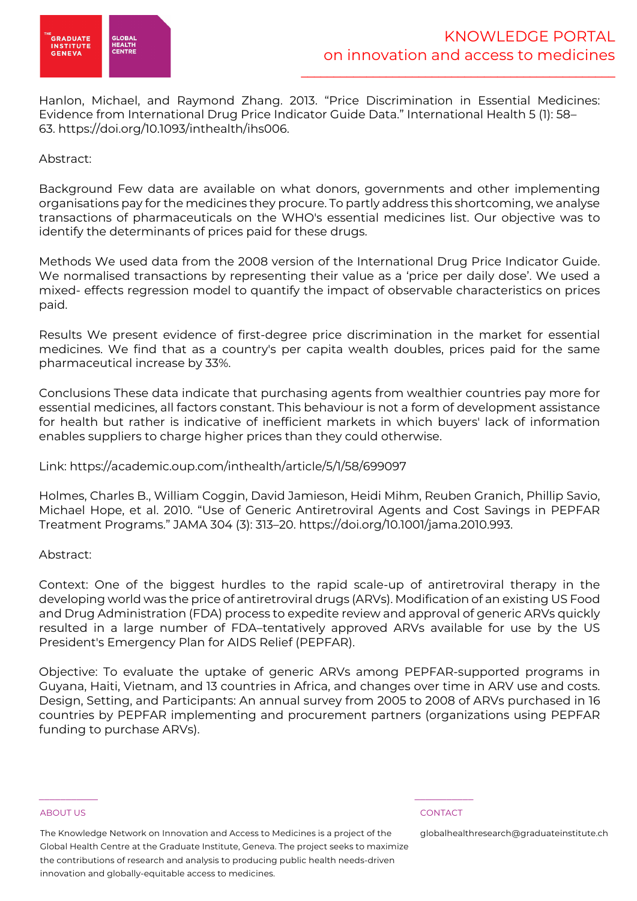

Hanlon, Michael, and Raymond Zhang. 2013. "Price Discrimination in Essential Medicines: Evidence from International Drug Price Indicator Guide Data." International Health 5 (1): 58– 63. https://doi.org/10.1093/inthealth/ihs006.

### Abstract:

Background Few data are available on what donors, governments and other implementing organisations pay for the medicines they procure. To partly address this shortcoming, we analyse transactions of pharmaceuticals on the WHO's essential medicines list. Our objective was to identify the determinants of prices paid for these drugs.

Methods We used data from the 2008 version of the International Drug Price Indicator Guide. We normalised transactions by representing their value as a 'price per daily dose'. We used a mixed- effects regression model to quantify the impact of observable characteristics on prices paid.

Results We present evidence of first-degree price discrimination in the market for essential medicines. We find that as a country's per capita wealth doubles, prices paid for the same pharmaceutical increase by 33%.

Conclusions These data indicate that purchasing agents from wealthier countries pay more for essential medicines, all factors constant. This behaviour is not a form of development assistance for health but rather is indicative of inefficient markets in which buyers' lack of information enables suppliers to charge higher prices than they could otherwise.

# Link: https://academic.oup.com/inthealth/article/5/1/58/699097

Holmes, Charles B., William Coggin, David Jamieson, Heidi Mihm, Reuben Granich, Phillip Savio, Michael Hope, et al. 2010. "Use of Generic Antiretroviral Agents and Cost Savings in PEPFAR Treatment Programs." JAMA 304 (3): 313–20. https://doi.org/10.1001/jama.2010.993.

### Abstract:

Context: One of the biggest hurdles to the rapid scale-up of antiretroviral therapy in the developing world was the price of antiretroviral drugs (ARVs). Modification of an existing US Food and Drug Administration (FDA) process to expedite review and approval of generic ARVs quickly resulted in a large number of FDA–tentatively approved ARVs available for use by the US President's Emergency Plan for AIDS Relief (PEPFAR).

Objective: To evaluate the uptake of generic ARVs among PEPFAR-supported programs in Guyana, Haiti, Vietnam, and 13 countries in Africa, and changes over time in ARV use and costs. Design, Setting, and Participants: An annual survey from 2005 to 2008 of ARVs purchased in 16 countries by PEPFAR implementing and procurement partners (organizations using PEPFAR funding to purchase ARVs).

#### ABOUT US CONTACT AND RESERVE THE RELEASE OF THE RELEASE OF THE RELEASE OF THE RELEASE OF THE RELEASE OF THE RELEASE OF THE RELEASE OF THE RELEASE OF THE RELEASE OF THE RELEASE OF THE RELEASE OF THE RELEASE OF THE RELEASE O

The Knowledge Network on Innovation and Access to Medicines is a project of the Global Health Centre at the Graduate Institute, Geneva. The project seeks to maximize the contributions of research and analysis to producing public health needs-driven innovation and globally-equitable access to medicines.

 $\frac{1}{2}$  , and the set of the set of the set of the set of the set of the set of the set of the set of the set of the set of the set of the set of the set of the set of the set of the set of the set of the set of the set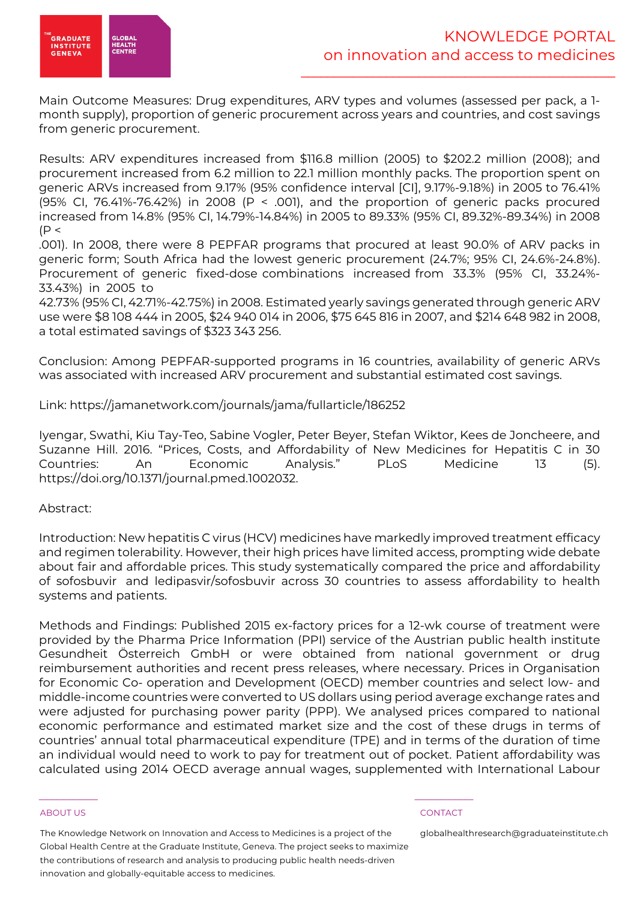

Main Outcome Measures: Drug expenditures, ARV types and volumes (assessed per pack, a 1 month supply), proportion of generic procurement across years and countries, and cost savings from generic procurement.

Results: ARV expenditures increased from \$116.8 million (2005) to \$202.2 million (2008); and procurement increased from 6.2 million to 22.1 million monthly packs. The proportion spent on generic ARVs increased from 9.17% (95% confidence interval [CI], 9.17%-9.18%) in 2005 to 76.41% (95% CI, 76.41%-76.42%) in 2008 (P < .001), and the proportion of generic packs procured increased from 14.8% (95% CI, 14.79%-14.84%) in 2005 to 89.33% (95% CI, 89.32%-89.34%) in 2008  $(P <$ 

.001). In 2008, there were 8 PEPFAR programs that procured at least 90.0% of ARV packs in generic form; South Africa had the lowest generic procurement (24.7%; 95% CI, 24.6%-24.8%). Procurement of generic fixed-dose combinations increased from 33.3% (95% CI, 33.24%- 33.43%) in 2005 to

42.73% (95% CI, 42.71%-42.75%) in 2008. Estimated yearly savings generated through generic ARV use were \$8 108 444 in 2005, \$24 940 014 in 2006, \$75 645 816 in 2007, and \$214 648 982 in 2008, a total estimated savings of \$323 343 256.

Conclusion: Among PEPFAR-supported programs in 16 countries, availability of generic ARVs was associated with increased ARV procurement and substantial estimated cost savings.

Link: https://jamanetwork.com/journals/jama/fullarticle/186252

Iyengar, Swathi, Kiu Tay-Teo, Sabine Vogler, Peter Beyer, Stefan Wiktor, Kees de Joncheere, and Suzanne Hill. 2016. "Prices, Costs, and Affordability of New Medicines for Hepatitis C in 30 Countries: An Economic Analysis." PLoS Medicine 13 (5). https://doi.org/10.1371/journal.pmed.1002032.

Abstract:

Introduction: New hepatitis C virus (HCV) medicines have markedly improved treatment efficacy and regimen tolerability. However, their high prices have limited access, prompting wide debate about fair and affordable prices. This study systematically compared the price and affordability of sofosbuvir and ledipasvir/sofosbuvir across 30 countries to assess affordability to health systems and patients.

Methods and Findings: Published 2015 ex-factory prices for a 12-wk course of treatment were provided by the Pharma Price Information (PPI) service of the Austrian public health institute Gesundheit Österreich GmbH or were obtained from national government or drug reimbursement authorities and recent press releases, where necessary. Prices in Organisation for Economic Co- operation and Development (OECD) member countries and select low- and middle-income countries were converted to US dollars using period average exchange rates and were adjusted for purchasing power parity (PPP). We analysed prices compared to national economic performance and estimated market size and the cost of these drugs in terms of countries' annual total pharmaceutical expenditure (TPE) and in terms of the duration of time an individual would need to work to pay for treatment out of pocket. Patient affordability was calculated using 2014 OECD average annual wages, supplemented with International Labour

#### ABOUT US CONTACT AND RESERVE THE RELEASE OF THE RELEASE OF THE RELEASE OF THE RELEASE OF THE RELEASE OF THE RELEASE OF THE RELEASE OF THE RELEASE OF THE RELEASE OF THE RELEASE OF THE RELEASE OF THE RELEASE OF THE RELEASE O

The Knowledge Network on Innovation and Access to Medicines is a project of the Global Health Centre at the Graduate Institute, Geneva. The project seeks to maximize the contributions of research and analysis to producing public health needs-driven innovation and globally-equitable access to medicines.

 $\frac{1}{2}$  , and the set of the set of the set of the set of the set of the set of the set of the set of the set of the set of the set of the set of the set of the set of the set of the set of the set of the set of the set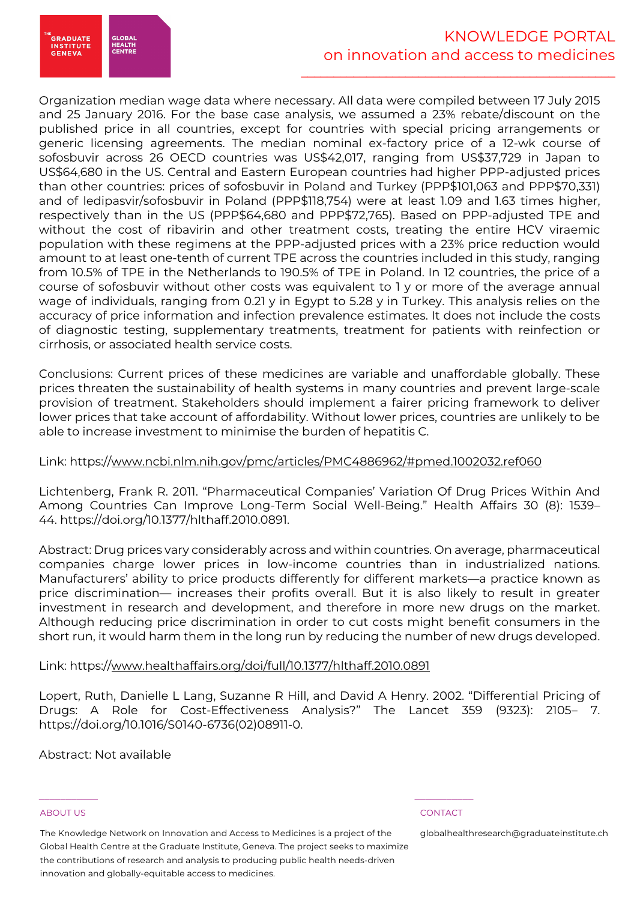.<br>GRADUATE<br>INSTITUTE **HEALTH<br>CENTR GENEVA** 

Organization median wage data where necessary. All data were compiled between 17 July 2015 and 25 January 2016. For the base case analysis, we assumed a 23% rebate/discount on the published price in all countries, except for countries with special pricing arrangements or generic licensing agreements. The median nominal ex-factory price of a 12-wk course of sofosbuvir across 26 OECD countries was US\$42,017, ranging from US\$37,729 in Japan to US\$64,680 in the US. Central and Eastern European countries had higher PPP-adjusted prices than other countries: prices of sofosbuvir in Poland and Turkey (PPP\$101,063 and PPP\$70,331) and of ledipasvir/sofosbuvir in Poland (PPP\$118,754) were at least 1.09 and 1.63 times higher, respectively than in the US (PPP\$64,680 and PPP\$72,765). Based on PPP-adjusted TPE and without the cost of ribavirin and other treatment costs, treating the entire HCV viraemic population with these regimens at the PPP-adjusted prices with a 23% price reduction would amount to at least one-tenth of current TPE across the countries included in this study, ranging from 10.5% of TPE in the Netherlands to 190.5% of TPE in Poland. In 12 countries, the price of a course of sofosbuvir without other costs was equivalent to 1 y or more of the average annual wage of individuals, ranging from 0.21 y in Egypt to 5.28 y in Turkey. This analysis relies on the accuracy of price information and infection prevalence estimates. It does not include the costs of diagnostic testing, supplementary treatments, treatment for patients with reinfection or cirrhosis, or associated health service costs.

Conclusions: Current prices of these medicines are variable and unaffordable globally. These prices threaten the sustainability of health systems in many countries and prevent large-scale provision of treatment. Stakeholders should implement a fairer pricing framework to deliver lower prices that take account of affordability. Without lower prices, countries are unlikely to be able to increase investment to minimise the burden of hepatitis C.

# Link: https://www.ncbi.nlm.nih.gov/pmc/articles/PMC4886962/#pmed.1002032.ref060

Lichtenberg, Frank R. 2011. "Pharmaceutical Companies' Variation Of Drug Prices Within And Among Countries Can Improve Long-Term Social Well-Being." Health Affairs 30 (8): 1539– 44. https://doi.org/10.1377/hlthaff.2010.0891.

Abstract: Drug prices vary considerably across and within countries. On average, pharmaceutical companies charge lower prices in low-income countries than in industrialized nations. Manufacturers' ability to price products differently for different markets—a practice known as price discrimination— increases their profits overall. But it is also likely to result in greater investment in research and development, and therefore in more new drugs on the market. Although reducing price discrimination in order to cut costs might benefit consumers in the short run, it would harm them in the long run by reducing the number of new drugs developed.

# Link: https://www.healthaffairs.org/doi/full/10.1377/hlthaff.2010.0891

Lopert, Ruth, Danielle L Lang, Suzanne R Hill, and David A Henry. 2002. "Differential Pricing of Drugs: A Role for Cost-Effectiveness Analysis?" The Lancet 359 (9323): 2105– 7. https://doi.org/10.1016/S0140-6736(02)08911-0.

### Abstract: Not available

#### ABOUT US CONTACT AND RESERVE THE RELEASE OF THE RELEASE OF THE RELEASE OF THE RELEASE OF THE RELEASE OF THE RELEASE OF THE RELEASE OF THE RELEASE OF THE RELEASE OF THE RELEASE OF THE RELEASE OF THE RELEASE OF THE RELEASE O

The Knowledge Network on Innovation and Access to Medicines is a project of the Global Health Centre at the Graduate Institute, Geneva. The project seeks to maximize the contributions of research and analysis to producing public health needs-driven innovation and globally-equitable access to medicines.

 $\frac{1}{2}$  , and the set of the set of the set of the set of the set of the set of the set of the set of the set of the set of the set of the set of the set of the set of the set of the set of the set of the set of the set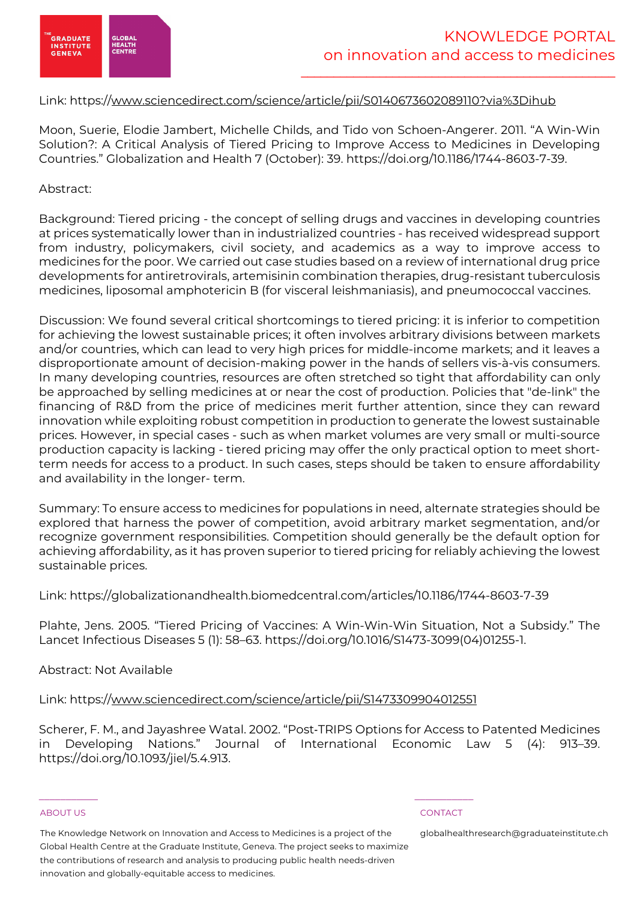

# Link: https://www.sciencedirect.com/science/article/pii/S0140673602089110?via%3Dihub

Moon, Suerie, Elodie Jambert, Michelle Childs, and Tido von Schoen-Angerer. 2011. "A Win-Win Solution?: A Critical Analysis of Tiered Pricing to Improve Access to Medicines in Developing Countries." Globalization and Health 7 (October): 39. https://doi.org/10.1186/1744-8603-7-39.

### Abstract:

Background: Tiered pricing - the concept of selling drugs and vaccines in developing countries at prices systematically lower than in industrialized countries - has received widespread support from industry, policymakers, civil society, and academics as a way to improve access to medicines for the poor. We carried out case studies based on a review of international drug price developments for antiretrovirals, artemisinin combination therapies, drug-resistant tuberculosis medicines, liposomal amphotericin B (for visceral leishmaniasis), and pneumococcal vaccines.

Discussion: We found several critical shortcomings to tiered pricing: it is inferior to competition for achieving the lowest sustainable prices; it often involves arbitrary divisions between markets and/or countries, which can lead to very high prices for middle-income markets; and it leaves a disproportionate amount of decision-making power in the hands of sellers vis-à-vis consumers. In many developing countries, resources are often stretched so tight that affordability can only be approached by selling medicines at or near the cost of production. Policies that "de-link" the financing of R&D from the price of medicines merit further attention, since they can reward innovation while exploiting robust competition in production to generate the lowest sustainable prices. However, in special cases - such as when market volumes are very small or multi-source production capacity is lacking - tiered pricing may offer the only practical option to meet shortterm needs for access to a product. In such cases, steps should be taken to ensure affordability and availability in the longer- term.

Summary: To ensure access to medicines for populations in need, alternate strategies should be explored that harness the power of competition, avoid arbitrary market segmentation, and/or recognize government responsibilities. Competition should generally be the default option for achieving affordability, as it has proven superior to tiered pricing for reliably achieving the lowest sustainable prices.

Link: https://globalizationandhealth.biomedcentral.com/articles/10.1186/1744-8603-7-39

Plahte, Jens. 2005. "Tiered Pricing of Vaccines: A Win-Win-Win Situation, Not a Subsidy." The Lancet Infectious Diseases 5 (1): 58–63. https://doi.org/10.1016/S1473-3099(04)01255-1.

Abstract: Not Available

### Link: https://www.sciencedirect.com/science/article/pii/S1473309904012551

 $\frac{1}{2}$  , and the set of the set of the set of the set of the set of the set of the set of the set of the set of the set of the set of the set of the set of the set of the set of the set of the set of the set of the set

Scherer, F. M., and Jayashree Watal. 2002. "Post-TRIPS Options for Access to Patented Medicines in Developing Nations." Journal of International Economic Law 5 (4): 913–39. https://doi.org/10.1093/jiel/5.4.913.

#### ABOUT US CONTACT AND RESERVE THE RELEASE OF THE RELEASE OF THE RELEASE OF THE RELEASE OF THE RELEASE OF THE RELEASE OF THE RELEASE OF THE RELEASE OF THE RELEASE OF THE RELEASE OF THE RELEASE OF THE RELEASE OF THE RELEASE O

The Knowledge Network on Innovation and Access to Medicines is a project of the Global Health Centre at the Graduate Institute, Geneva. The project seeks to maximize the contributions of research and analysis to producing public health needs-driven innovation and globally-equitable access to medicines.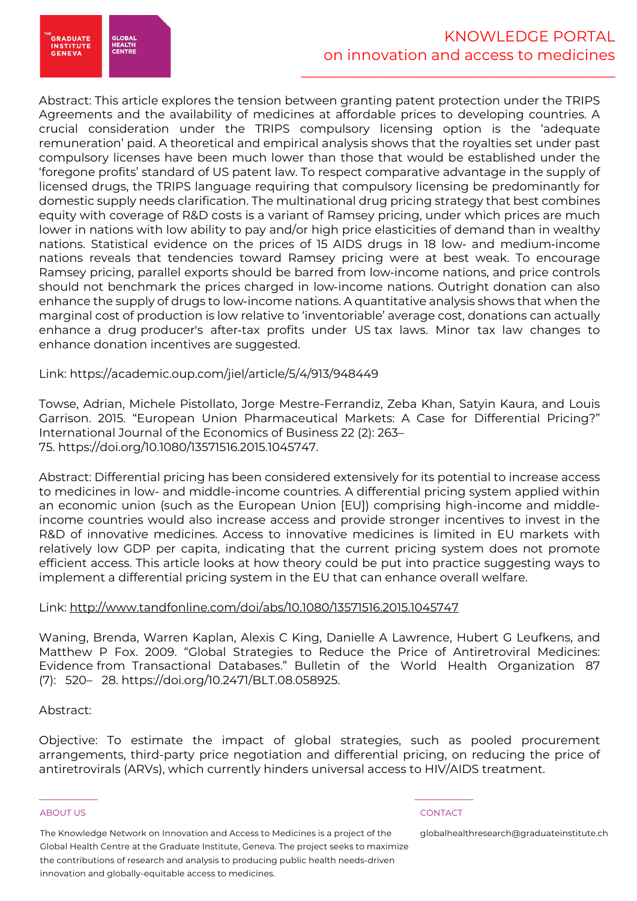

Abstract: This article explores the tension between granting patent protection under the TRIPS Agreements and the availability of medicines at affordable prices to developing countries. A crucial consideration under the TRIPS compulsory licensing option is the 'adequate remuneration' paid. A theoretical and empirical analysis shows that the royalties set under past compulsory licenses have been much lower than those that would be established under the 'foregone profits' standard of US patent law. To respect comparative advantage in the supply of licensed drugs, the TRIPS language requiring that compulsory licensing be predominantly for domestic supply needs clarification. The multinational drug pricing strategy that best combines equity with coverage of R&D costs is a variant of Ramsey pricing, under which prices are much lower in nations with low ability to pay and/or high price elasticities of demand than in wealthy nations. Statistical evidence on the prices of 15 AIDS drugs in 18 low- and medium-income nations reveals that tendencies toward Ramsey pricing were at best weak. To encourage Ramsey pricing, parallel exports should be barred from low-income nations, and price controls should not benchmark the prices charged in low-income nations. Outright donation can also enhance the supply of drugs to low-income nations. A quantitative analysis shows that when the marginal cost of production is low relative to 'inventoriable' average cost, donations can actually enhance a drug producer's after-tax profits under US tax laws. Minor tax law changes to enhance donation incentives are suggested.

# Link: https://academic.oup.com/jiel/article/5/4/913/948449

Towse, Adrian, Michele Pistollato, Jorge Mestre-Ferrandiz, Zeba Khan, Satyin Kaura, and Louis Garrison. 2015. "European Union Pharmaceutical Markets: A Case for Differential Pricing?" International Journal of the Economics of Business 22 (2): 263– 75. https://doi.org/10.1080/13571516.2015.1045747.

Abstract: Differential pricing has been considered extensively for its potential to increase access to medicines in low- and middle-income countries. A differential pricing system applied within an economic union (such as the European Union [EU]) comprising high-income and middleincome countries would also increase access and provide stronger incentives to invest in the R&D of innovative medicines. Access to innovative medicines is limited in EU markets with relatively low GDP per capita, indicating that the current pricing system does not promote efficient access. This article looks at how theory could be put into practice suggesting ways to implement a differential pricing system in the EU that can enhance overall welfare.

# Link: http://www.tandfonline.com/doi/abs/10.1080/13571516.2015.1045747

Waning, Brenda, Warren Kaplan, Alexis C King, Danielle A Lawrence, Hubert G Leufkens, and Matthew P Fox. 2009. "Global Strategies to Reduce the Price of Antiretroviral Medicines: Evidence from Transactional Databases." Bulletin of the World Health Organization 87 (7): 520– 28. https://doi.org/10.2471/BLT.08.058925.

### Abstract:

Objective: To estimate the impact of global strategies, such as pooled procurement arrangements, third-party price negotiation and differential pricing, on reducing the price of antiretrovirals (ARVs), which currently hinders universal access to HIV/AIDS treatment.

#### ABOUT US CONTACT AND RESERVE THE RELEASE OF THE RELEASE OF THE RELEASE OF THE RELEASE OF THE RELEASE OF THE RELEASE OF THE RELEASE OF THE RELEASE OF THE RELEASE OF THE RELEASE OF THE RELEASE OF THE RELEASE OF THE RELEASE O

The Knowledge Network on Innovation and Access to Medicines is a project of the Global Health Centre at the Graduate Institute, Geneva. The project seeks to maximize the contributions of research and analysis to producing public health needs-driven innovation and globally-equitable access to medicines.

 $\frac{1}{2}$  , and the set of the set of the set of the set of the set of the set of the set of the set of the set of the set of the set of the set of the set of the set of the set of the set of the set of the set of the set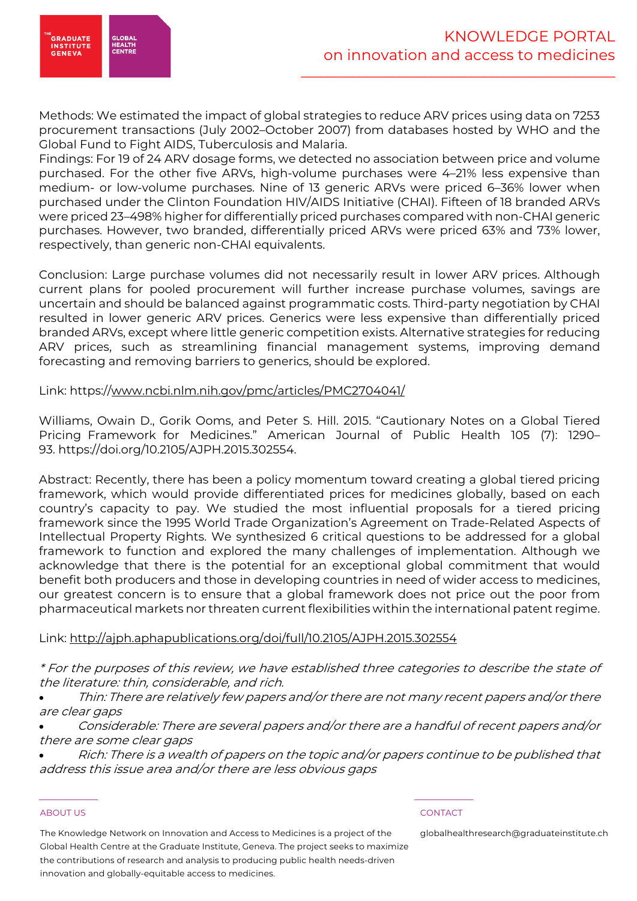

Methods: We estimated the impact of global strategies to reduce ARV prices using data on 7253 procurement transactions (July 2002–October 2007) from databases hosted by WHO and the Global Fund to Fight AIDS, Tuberculosis and Malaria.

Findings: For 19 of 24 ARV dosage forms, we detected no association between price and volume purchased. For the other five ARVs, high-volume purchases were 4–21% less expensive than medium- or low-volume purchases. Nine of 13 generic ARVs were priced 6–36% lower when purchased under the Clinton Foundation HIV/AIDS Initiative (CHAI). Fifteen of 18 branded ARVs were priced 23–498% higher for differentially priced purchases compared with non-CHAI generic purchases. However, two branded, differentially priced ARVs were priced 63% and 73% lower, respectively, than generic non-CHAI equivalents.

Conclusion: Large purchase volumes did not necessarily result in lower ARV prices. Although current plans for pooled procurement will further increase purchase volumes, savings are uncertain and should be balanced against programmatic costs. Third-party negotiation by CHAI resulted in lower generic ARV prices. Generics were less expensive than differentially priced branded ARVs, except where little generic competition exists. Alternative strategies for reducing ARV prices, such as streamlining financial management systems, improving demand forecasting and removing barriers to generics, should be explored.

Link: https://www.ncbi.nlm.nih.gov/pmc/articles/PMC2704041/

Williams, Owain D., Gorik Ooms, and Peter S. Hill. 2015. "Cautionary Notes on a Global Tiered Pricing Framework for Medicines." American Journal of Public Health 105 (7): 1290– 93. https://doi.org/10.2105/AJPH.2015.302554.

Abstract: Recently, there has been a policy momentum toward creating a global tiered pricing framework, which would provide differentiated prices for medicines globally, based on each country's capacity to pay. We studied the most influential proposals for a tiered pricing framework since the 1995 World Trade Organization's Agreement on Trade-Related Aspects of Intellectual Property Rights. We synthesized 6 critical questions to be addressed for a global framework to function and explored the many challenges of implementation. Although we acknowledge that there is the potential for an exceptional global commitment that would benefit both producers and those in developing countries in need of wider access to medicines, our greatest concern is to ensure that a global framework does not price out the poor from pharmaceutical markets nor threaten current flexibilities within the international patent regime.

Link: http://ajph.aphapublications.org/doi/full/10.2105/AJPH.2015.302554

\* For the purposes of this review, we have established three categories to describe the state of the literature: thin, considerable, and rich.

• Thin: There are relatively few papers and/or there are not many recent papers and/or there are clear gaps

• Considerable: There are several papers and/or there are a handful of recent papers and/or there are some clear gaps

• Rich: There is a wealth of papers on the topic and/or papers continue to be published that address this issue area and/or there are less obvious gaps

#### ABOUT US CONTACT AND RESERVE THE RELEASE OF THE RELEASE OF THE RELEASE OF THE RELEASE OF THE RELEASE OF THE RELEASE OF THE RELEASE OF THE RELEASE OF THE RELEASE OF THE RELEASE OF THE RELEASE OF THE RELEASE OF THE RELEASE O

The Knowledge Network on Innovation and Access to Medicines is a project of the Global Health Centre at the Graduate Institute, Geneva. The project seeks to maximize the contributions of research and analysis to producing public health needs-driven innovation and globally-equitable access to medicines.

 $\frac{1}{2}$  , and the set of the set of the set of the set of the set of the set of the set of the set of the set of the set of the set of the set of the set of the set of the set of the set of the set of the set of the set